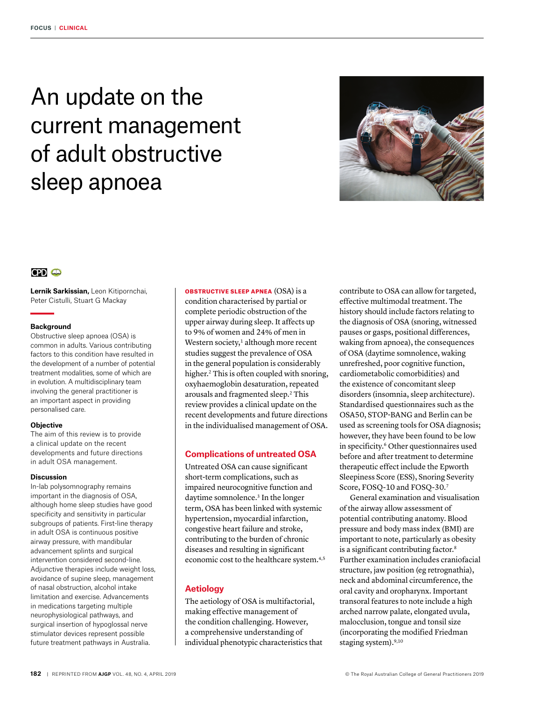# An update on the current management of adult obstructive sleep apnoea



# $CD<sub>CD</sub>$

**Lernik Sarkissian,** Leon Kitipornchai, Peter Cistulli, Stuart G Mackay

## **Background**

Obstructive sleep apnoea (OSA) is common in adults. Various contributing factors to this condition have resulted in the development of a number of potential treatment modalities, some of which are in evolution. A multidisciplinary team involving the general practitioner is an important aspect in providing personalised care.

## **Objective**

The aim of this review is to provide a clinical update on the recent developments and future directions in adult OSA management.

## **Discussion**

In-lab polysomnography remains important in the diagnosis of OSA, although home sleep studies have good specificity and sensitivity in particular subgroups of patients. First-line therapy in adult OSA is continuous positive airway pressure, with mandibular advancement splints and surgical intervention considered second-line. Adjunctive therapies include weight loss, avoidance of supine sleep, management of nasal obstruction, alcohol intake limitation and exercise. Advancements in medications targeting multiple neurophysiological pathways, and surgical insertion of hypoglossal nerve stimulator devices represent possible future treatment pathways in Australia.

OBSTRUCTIVE SLEEP APNEA (OSA) is a condition characterised by partial or complete periodic obstruction of the upper airway during sleep. It affects up to 9% of women and 24% of men in Western society,<sup>1</sup> although more recent studies suggest the prevalence of OSA in the general population is considerably higher.<sup>2</sup> This is often coupled with snoring, oxyhaemoglobin desaturation, repeated arousals and fragmented sleep.2 This review provides a clinical update on the recent developments and future directions in the individualised management of OSA.

# **Complications of untreated OSA**

Untreated OSA can cause significant short-term complications, such as impaired neurocognitive function and daytime somnolence.<sup>3</sup> In the longer term, OSA has been linked with systemic hypertension, myocardial infarction, congestive heart failure and stroke, contributing to the burden of chronic diseases and resulting in significant economic cost to the healthcare system.<sup>4,5</sup>

# **Aetiology**

The aetiology of OSA is multifactorial, making effective management of the condition challenging. However, a comprehensive understanding of individual phenotypic characteristics that contribute to OSA can allow for targeted, effective multimodal treatment. The history should include factors relating to the diagnosis of OSA (snoring, witnessed pauses or gasps, positional differences, waking from apnoea), the consequences of OSA (daytime somnolence, waking unrefreshed, poor cognitive function, cardiometabolic comorbidities) and the existence of concomitant sleep disorders (insomnia, sleep architecture). Standardised questionnaires such as the OSA50, STOP-BANG and Berlin can be used as screening tools for OSA diagnosis; however, they have been found to be low in specificity.<sup>6</sup> Other questionnaires used before and after treatment to determine therapeutic effect include the Epworth Sleepiness Score (ESS), Snoring Severity Score, FOSQ-10 and FOSQ-30.7

 General examination and visualisation of the airway allow assessment of potential contributing anatomy. Blood pressure and body mass index (BMI) are important to note, particularly as obesity is a significant contributing factor.<sup>8</sup> Further examination includes craniofacial structure, jaw position (eg retrognathia), neck and abdominal circumference, the oral cavity and oropharynx. Important transoral features to note include a high arched narrow palate, elongated uvula, malocclusion, tongue and tonsil size (incorporating the modified Friedman staging system).<sup>9,10</sup>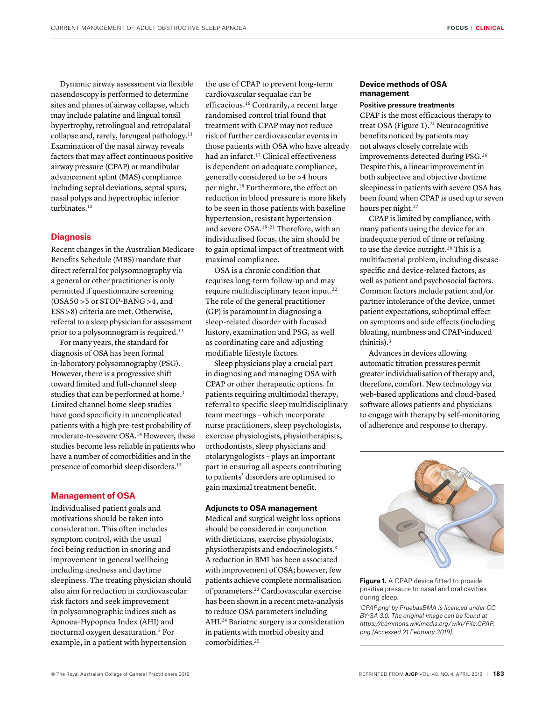Dynamic airway assessment via flexible nasendoscopy is performed to determine sites and planes of airway collapse, which may include palatine and lingual tonsil hypertrophy, retrolingual and retropalatal collapse and, rarely, laryngeal pathology.11 Examination of the nasal airway reveals factors that may affect continuous positive airway pressure (CPAP) or mandibular advancement splint (MAS) compliance including septal deviations, septal spurs, nasal polyps and hypertrophic inferior turbinates.<sup>12</sup>

# **Diagnosis**

Recent changes in the Australian Medicare Benefits Schedule (MBS) mandate that direct referral for polysomnography via a general or other practitioner is only permitted if questionnaire screening (OSA50 >5 or STOP-BANG >4, and ESS >8) criteria are met. Otherwise, referral to a sleep physician for assessment prior to a polysomnogram is required.<sup>13</sup>

For many years, the standard for diagnosis of OSA has been formal in-laboratory polysomnography (PSG). However, there is a progressive shift toward limited and full-channel sleep studies that can be performed at home.<sup>3</sup> Limited channel home sleep studies have good specificity in uncomplicated patients with a high pre-test probability of moderate-to-severe OSA.14 However, these studies become less reliable in patients who have a number of comorbidities and in the presence of comorbid sleep disorders.15

## **Management of OSA**

Individualised patient goals and motivations should be taken into consideration. This often includes symptom control, with the usual foci being reduction in snoring and improvement in general wellbeing including tiredness and daytime sleepiness. The treating physician should also aim for reduction in cardiovascular risk factors and seek improvement in polysomnographic indices such as Apnoea–Hypopnea Index (AHI) and nocturnal oxygen desaturation.3 For example, in a patient with hypertension

the use of CPAP to prevent long-term cardiovascular sequalae can be efficacious.16 Contrarily, a recent large randomised control trial found that treatment with CPAP may not reduce risk of further cardiovascular events in those patients with OSA who have already had an infarct.<sup>17</sup> Clinical effectiveness is dependent on adequate compliance, generally considered to be >4 hours per night.18 Furthermore, the effect on reduction in blood pressure is more likely to be seen in those patients with baseline hypertension, resistant hypertension and severe OSA.19–21 Therefore, with an individualised focus, the aim should be to gain optimal impact of treatment with maximal compliance.

OSA is a chronic condition that requires long-term follow-up and may require multidisciplinary team input.<sup>22</sup> The role of the general practitioner (GP) is paramount in diagnosing a sleep-related disorder with focused history, examination and PSG, as well as coordinating care and adjusting modifiable lifestyle factors.

Sleep physicians play a crucial part in diagnosing and managing OSA with CPAP or other therapeutic options. In patients requiring multimodal therapy, referral to specific sleep multidisciplinary team meetings – which incorporate nurse practitioners, sleep psychologists, exercise physiologists, physiotherapists, orthodontists, sleep physicians and otolaryngologists – plays an important part in ensuring all aspects contributing to patients' disorders are optimised to gain maximal treatment benefit.

## **Adjuncts to OSA management**

Medical and surgical weight loss options should be considered in conjunction with dieticians, exercise physiologists, physiotherapists and endocrinologists.3 A reduction in BMI has been associated with improvement of OSA; however, few patients achieve complete normalisation of parameters.23 Cardiovascular exercise has been shown in a recent meta-analysis to reduce OSA parameters including AHI.24 Bariatric surgery is a consideration in patients with morbid obesity and comorbidities.25

## **Device methods of OSA management**

## Positive pressure treatments

CPAP is the most efficacious therapy to treat OSA (Figure 1).<sup>24</sup> Neurocognitive benefits noticed by patients may not always closely correlate with improvements detected during PSG.26 Despite this, a linear improvement in both subjective and objective daytime sleepiness in patients with severe OSA has been found when CPAP is used up to seven hours per night.<sup>27</sup>

CPAP is limited by compliance, with many patients using the device for an inadequate period of time or refusing to use the device outright.<sup>28</sup> This is a multifactorial problem, including diseasespecific and device-related factors, as well as patient and psychosocial factors. Common factors include patient and/or partner intolerance of the device, unmet patient expectations, suboptimal effect on symptoms and side effects (including bloating, numbness and CPAP-induced rhinitis).3

Advances in devices allowing automatic titration pressures permit greater individualisation of therapy and, therefore, comfort. New technology via web-based applications and cloud-based software allows patients and physicians to engage with therapy by self-monitoring of adherence and response to therapy.



**Figure 1.** A CPAP device fitted to provide positive pressure to nasal and oral cavities during sleep.

*'CPAP.png' by PruebasBMA is licenced under CC BY-SA 3.0. The original image can be found at https://commons.wikimedia.org/wiki/File:CPAP. png [Accessed 21 February 2019].*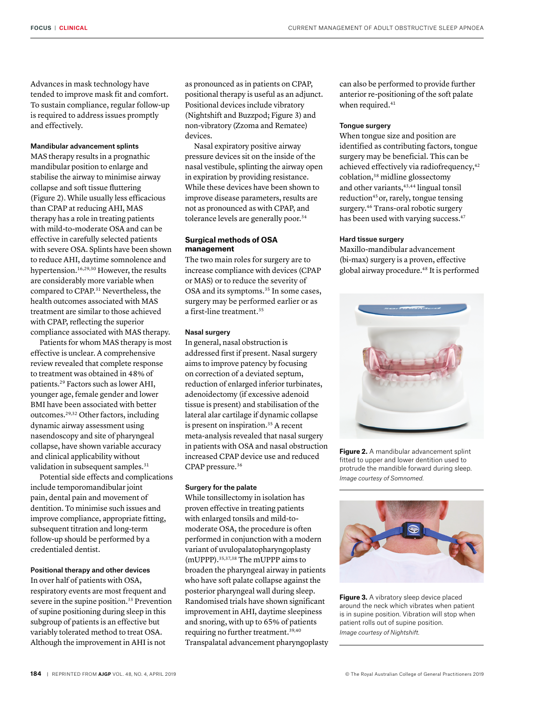**FOCUS** | **CLINICAL**

tended to improve mask fit and comfort. To sustain compliance, regular follow-up is required to address issues promptly and effectively.

# Mandibular advancement splints

MAS therapy results in a prognathic mandibular position to enlarge and stabilise the airway to minimise airway collapse and soft tissue fluttering (Figure 2). While usually less efficacious than CPAP at reducing AHI, MAS therapy has a role in treating patients with mild-to-moderate OSA and can be effective in carefully selected patients with severe OSA. Splints have been shown to reduce AHI, daytime somnolence and hypertension.16,29,30 However, the results are considerably more variable when compared to CPAP.<sup>31</sup> Nevertheless, the health outcomes associated with MAS treatment are similar to those achieved with CPAP, reflecting the superior compliance associated with MAS therapy.

Patients for whom MAS therapy is most effective is unclear. A comprehensive review revealed that complete response to treatment was obtained in 48% of patients.29 Factors such as lower AHI, younger age, female gender and lower BMI have been associated with better outcomes.29,32 Other factors, including dynamic airway assessment using nasendoscopy and site of pharyngeal collapse, have shown variable accuracy and clinical applicability without validation in subsequent samples.<sup>31</sup>

Potential side effects and complications include temporomandibular joint pain, dental pain and movement of dentition. To minimise such issues and improve compliance, appropriate fitting, subsequent titration and long-term follow-up should be performed by a credentialed dentist.

# Positional therapy and other devices

In over half of patients with OSA, respiratory events are most frequent and severe in the supine position.<sup>33</sup> Prevention of supine positioning during sleep in this subgroup of patients is an effective but variably tolerated method to treat OSA. Although the improvement in AHI is not

as pronounced as in patients on CPAP, positional therapy is useful as an adjunct. Positional devices include vibratory (Nightshift and Buzzpod; Figure 3) and non-vibratory (Zzoma and Rematee) devices.

Nasal expiratory positive airway pressure devices sit on the inside of the nasal vestibule, splinting the airway open in expiration by providing resistance. While these devices have been shown to improve disease parameters, results are not as pronounced as with CPAP, and tolerance levels are generally poor.<sup>34</sup>

# **Surgical methods of OSA management**

The two main roles for surgery are to increase compliance with devices (CPAP or MAS) or to reduce the severity of OSA and its symptoms.<sup>35</sup> In some cases, surgery may be performed earlier or as a first-line treatment.35

# Nasal surgery

In general, nasal obstruction is addressed first if present. Nasal surgery aims to improve patency by focusing on correction of a deviated septum, reduction of enlarged inferior turbinates, adenoidectomy (if excessive adenoid tissue is present) and stabilisation of the lateral alar cartilage if dynamic collapse is present on inspiration.<sup>35</sup> A recent meta-analysis revealed that nasal surgery in patients with OSA and nasal obstruction increased CPAP device use and reduced CPAP pressure.36

## Surgery for the palate

While tonsillectomy in isolation has proven effective in treating patients with enlarged tonsils and mild-tomoderate OSA, the procedure is often performed in conjunction with a modern variant of uvulopalatopharyngoplasty (mUPPP).35,37,38 The mUPPP aims to broaden the pharyngeal airway in patients who have soft palate collapse against the posterior pharyngeal wall during sleep. Randomised trials have shown significant improvement in AHI, daytime sleepiness and snoring, with up to 65% of patients requiring no further treatment.39,40 Transpalatal advancement pharyngoplasty can also be performed to provide further anterior re-positioning of the soft palate when required.<sup>41</sup>

## Tongue surgery

When tongue size and position are identified as contributing factors, tongue surgery may be beneficial. This can be achieved effectively via radiofrequency,<sup>42</sup> coblation,38 midline glossectomy and other variants,<sup>43,44</sup> lingual tonsil reduction<sup>45</sup> or, rarely, tongue tensing surgery.46 Trans-oral robotic surgery has been used with varying success.<sup>47</sup>

## Hard tissue surgery

Maxillo-mandibular advancement (bi-max) surgery is a proven, effective global airway procedure.48 It is performed



**Figure 2.** A mandibular advancement splint fitted to upper and lower dentition used to protrude the mandible forward during sleep. *Image courtesy of Somnomed.* 



**Figure 3.** A vibratory sleep device placed around the neck which vibrates when patient is in supine position. Vibration will stop when patient rolls out of supine position. *Image courtesy of Nightshift.*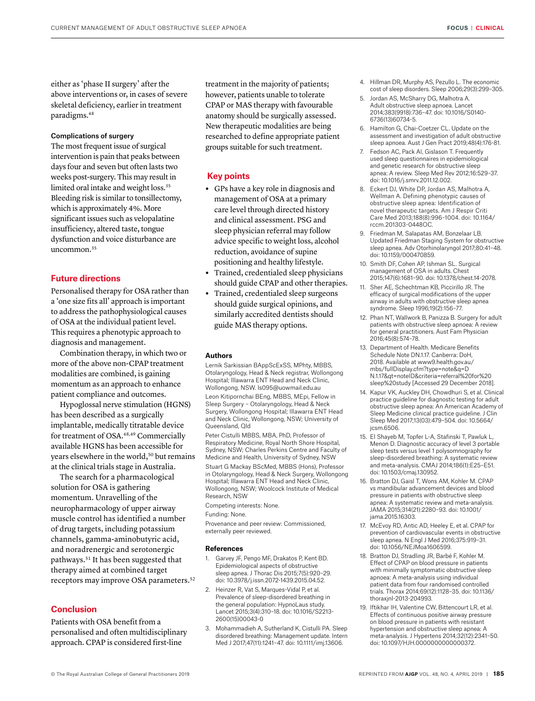either as 'phase II surgery' after the above interventions or, in cases of severe skeletal deficiency, earlier in treatment paradigms.48

## Complications of surgery

The most frequent issue of surgical intervention is pain that peaks between days four and seven but often lasts two weeks post-surgery. This may result in limited oral intake and weight loss.35 Bleeding risk is similar to tonsillectomy, which is approximately 4%. More significant issues such as velopalatine insufficiency, altered taste, tongue dysfunction and voice disturbance are uncommon.35

## **Future directions**

Personalised therapy for OSA rather than a 'one size fits all' approach is important to address the pathophysiological causes of OSA at the individual patient level. This requires a phenotypic approach to diagnosis and management.

Combination therapy, in which two or more of the above non-CPAP treatment modalities are combined, is gaining momentum as an approach to enhance patient compliance and outcomes.

Hypoglossal nerve stimulation (HGNS) has been described as a surgically implantable, medically titratable device for treatment of OSA.48,49 Commercially available HGNS has been accessible for years elsewhere in the world,<sup>50</sup> but remains at the clinical trials stage in Australia.

The search for a pharmacological solution for OSA is gathering momentum. Unravelling of the neuropharmacology of upper airway muscle control has identified a number of drug targets, including potassium channels, gamma-aminobutyric acid, and noradrenergic and serotonergic pathways.51 It has been suggested that therapy aimed at combined target receptors may improve OSA parameters.52

## **Conclusion**

Patients with OSA benefit from a personalised and often multidisciplinary approach. CPAP is considered first-line

treatment in the majority of patients; however, patients unable to tolerate CPAP or MAS therapy with favourable anatomy should be surgically assessed. New therapeutic modalities are being researched to define appropriate patient groups suitable for such treatment.

## **Key points**

- **•** GPs have a key role in diagnosis and management of OSA at a primary care level through directed history and clinical assessment. PSG and sleep physician referral may follow advice specific to weight loss, alcohol reduction, avoidance of supine positioning and healthy lifestyle.
- **•** Trained, credentialed sleep physicians should guide CPAP and other therapies.
- **•** Trained, credentialed sleep surgeons should guide surgical opinions, and similarly accredited dentists should guide MAS therapy options.

#### **Authors**

Lernik Sarkissian BAppScExSS, MPhty, MBBS, Otolaryngology, Head & Neck registrar, Wollongong Hospital; Illawarra ENT Head and Neck Clinic, Wollongong, NSW. ls095@uowmail.edu.au

Leon Kitipornchai BEng, MBBS, MEpi, Fellow in Sleep Surgery – Otolaryngology, Head & Neck Surgery, Wollongong Hospital; Illawarra ENT Head and Neck Clinic, Wollongong, NSW; University of Queensland, Qld

Peter Cistulli MBBS, MBA, PhD, Professor of Respiratory Medicine, Royal North Shore Hospital, Sydney, NSW; Charles Perkins Centre and Faculty of Medicine and Health, University of Sydney, NSW

Stuart G Mackay BScMed, MBBS (Hons), Professor in Otolaryngology, Head & Neck Surgery, Wollongong Hospital; Illawarra ENT Head and Neck Clinic, Wollongong, NSW; Woolcock Institute of Medical Research, NSW

Competing interests: None.

Funding: None.

Provenance and peer review: Commissioned, externally peer reviewed.

#### **References**

- 1. Garvey JF, Pengo MF, Drakatos P, Kent BD. Epidemiological aspects of obstructive sleep apnea. J Thorac Dis 2015;7(5):920–29. doi: 10.3978/j.issn.2072-1439.2015.04.52.
- 2. Heinzer R, Vat S, Marques-Vidal P, et al. Prevalence of sleep-disordered breathing in the general population: HypnoLaus study. Lancet 2015;3(4):310–18. doi: 10.1016/S2213- 2600(15)00043-0
- 3. Mohammadieh A, Sutherland K, Cistulli PA. Sleep disordered breathing: Management update. Intern Med J 2017;47(11):1241–47. doi: 10.1111/imj.13606.
- 4. Hillman DR, Murphy AS, Pezullo L. The economic cost of sleep disorders. Sleep 2006;29(3):299–305.
- 5. Jordan AS, McSharry DG, Malhotra A. Adult obstructive sleep apnoea. Lancet 2014;383(9918):736–47. doi: 10.1016/S0140- 6736(13)60734-5.
- 6. Hamilton G, Chai-Coetzer CL. Update on the assessment and investigation of adult obstructive sleep apnoea. Aust J Gen Pract 2019;48(4):176-81.
- 7. Fedson AC, Pack AI, Gislason T. Frequently used sleep questionnaires in epidemiological and genetic research for obstructive sleep apnea: A review. Sleep Med Rev 2012;16:529–37. doi: 10.1016/j.smrv.2011.12.002.
- 8. Eckert DJ, White DP, Jordan AS, Malhotra A, Wellman A. Defining phenotypic causes of obstructive sleep apnea: Identification of novel therapeutic targets. Am J Respir Criti Care Med 2013;188(8):996–1004. doi: 10.1164/ rccm.201303-0448OC.
- 9. Friedman M, Salapatas AM, Bonzelaar LB. Updated Friedman Staging System for obstructive sleep apnea. Adv Otorhinolaryngol 2017;80:41–48. doi: 10.1159/000470859.
- 10. Smith DF, Cohen AP, Ishman SL. Surgical management of OSA in adults. Chest 2015;147(6):1681–90. doi: 10.1378/chest.14-2078.
- 11. Sher AE, Schechtman KB, Piccirillo JR. The efficacy of surgical modifications of the upper airway in adults with obstructive sleep apnea syndrome. Sleep 1996;19(2):156–77.
- 12. Phan NT, Wallwork B, Panizza B. Surgery for adult patients with obstructive sleep apnoea: A review for general practitioners. Aust Fam Physician 2016;45(8):574–78.
- 13. Department of Health. Medicare Benefits Schedule Note DN.1.17. Canberra: DoH, 2018. Available at www9.health.gov.au/ mbs/fullDisplay.cfm?type=note&q=D N.1.17&qt=noteID&criteria=referral%20for%20 sleep%20study [Accessed 29 December 2018].
- 14. Kapur VK, Auckley DH, Chowdhuri S, et al. Clinical practice guideline for diagnostic testing for adult obstructive sleep apnea: An American Academy of Sleep Medicine clinical practice guideline. J Clin Sleep Med 2017;13(03):479–504. doi: 10.5664/ jcsm.6506.
- 15. El Shayeb M, Topfer L-A, Stafinski T, Pawluk L, Menon D. Diagnostic accuracy of level 3 portable sleep tests versus level 1 polysomnography for sleep-disordered breathing: A systematic review and meta-analysis. CMAJ 2014;186(1):E25–E51. doi: 10.1503/cmaj.130952.
- 16. Bratton DJ, Gaisl T, Wons AM, Kohler M. CPAP vs mandibular advancement devices and blood pressure in patients with obstructive sleep apnea: A systematic review and meta-analysis. JAMA 2015;314(21):2280–93. doi: 10.1001/ jama.2015.16303.
- 17. McEvoy RD, Antic AD, Heeley E, et al. CPAP for prevention of cardiovascular events in obstructive sleep apnea. N Engl J Med 2016;375:919–31. doi: 10.1056/NEJMoa1606599.
- 18. Bratton DJ, Stradling JR, Barbé F, Kohler M. Effect of CPAP on blood pressure in patients with minimally symptomatic obstructive sleep apnoea: A meta-analysis using individual patient data from four randomised controlled trials. Thorax 2014;69(12):1128–35. doi: 10.1136/ thoraxjnl-2013-204993.
- 19. Iftikhar IH, Valentine CW, Bittencourt LR, et al. Effects of continuous positive airway pressure on blood pressure in patients with resistant hypertension and obstructive sleep apnea: A meta-analysis. J Hypertens 2014;32(12):2341–50. doi: 10.1097/HJH.0000000000000372.